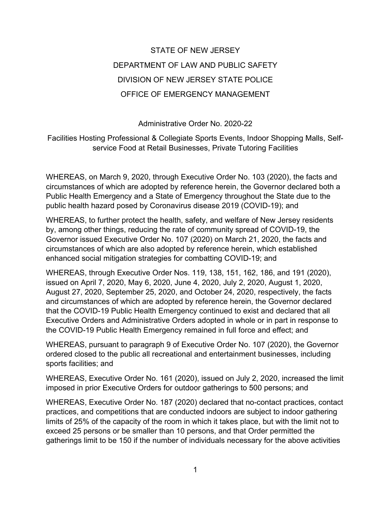# STATE OF NEW JERSEY DEPARTMENT OF LAW AND PUBLIC SAFETY DIVISION OF NEW JERSEY STATE POLICE OFFICE OF EMERGENCY MANAGEMENT

Administrative Order No. 2020-22

Facilities Hosting Professional & Collegiate Sports Events, Indoor Shopping Malls, Selfservice Food at Retail Businesses, Private Tutoring Facilities

WHEREAS, on March 9, 2020, through Executive Order No. 103 (2020), the facts and circumstances of which are adopted by reference herein, the Governor declared both a Public Health Emergency and a State of Emergency throughout the State due to the public health hazard posed by Coronavirus disease 2019 (COVID-19); and

WHEREAS, to further protect the health, safety, and welfare of New Jersey residents by, among other things, reducing the rate of community spread of COVID-19, the Governor issued Executive Order No. 107 (2020) on March 21, 2020, the facts and circumstances of which are also adopted by reference herein, which established enhanced social mitigation strategies for combatting COVID-19; and

WHEREAS, through Executive Order Nos. 119, 138, 151, 162, 186, and 191 (2020), issued on April 7, 2020, May 6, 2020, June 4, 2020, July 2, 2020, August 1, 2020, August 27, 2020, September 25, 2020, and October 24, 2020, respectively, the facts and circumstances of which are adopted by reference herein, the Governor declared that the COVID-19 Public Health Emergency continued to exist and declared that all Executive Orders and Administrative Orders adopted in whole or in part in response to the COVID-19 Public Health Emergency remained in full force and effect; and

WHEREAS, pursuant to paragraph 9 of Executive Order No. 107 (2020), the Governor ordered closed to the public all recreational and entertainment businesses, including sports facilities; and

WHEREAS, Executive Order No. 161 (2020), issued on July 2, 2020, increased the limit imposed in prior Executive Orders for outdoor gatherings to 500 persons; and

WHEREAS, Executive Order No. 187 (2020) declared that no-contact practices, contact practices, and competitions that are conducted indoors are subject to indoor gathering limits of 25% of the capacity of the room in which it takes place, but with the limit not to exceed 25 persons or be smaller than 10 persons, and that Order permitted the gatherings limit to be 150 if the number of individuals necessary for the above activities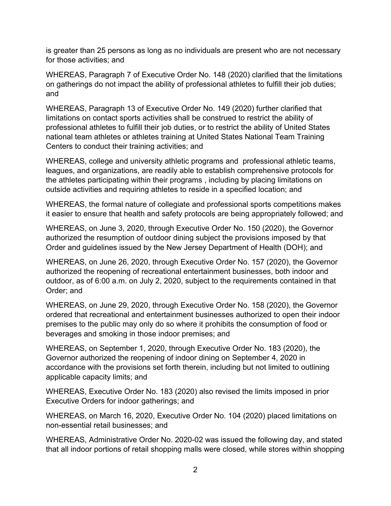is greater than 25 persons as long as no individuals are present who are not necessary for those activities; and

WHEREAS, Paragraph 7 of Executive Order No. 148 (2020) clarified that the limitations on gatherings do not impact the ability of professional athletes to fulfill their job duties; and

WHEREAS, Paragraph 13 of Executive Order No. 149 (2020) further clarified that limitations on contact sports activities shall be construed to restrict the ability of professional athletes to fulfill their job duties, or to restrict the ability of United States national team athletes or athletes training at United States National Team Training Centers to conduct their training activities; and

WHEREAS, college and university athletic programs and professional athletic teams, leagues, and organizations, are readily able to establish comprehensive protocols for the athletes participating within their programs , including by placing limitations on outside activities and requiring athletes to reside in a specified location; and

WHEREAS, the formal nature of collegiate and professional sports competitions makes it easier to ensure that health and safety protocols are being appropriately followed; and

WHEREAS, on June 3, 2020, through Executive Order No. 150 (2020), the Governor authorized the resumption of outdoor dining subject the provisions imposed by that Order and guidelines issued by the New Jersey Department of Health (DOH); and

WHEREAS, on June 26, 2020, through Executive Order No. 157 (2020), the Governor authorized the reopening of recreational entertainment businesses, both indoor and outdoor, as of 6:00 a.m. on July 2, 2020, subject to the requirements contained in that Order; and

WHEREAS, on June 29, 2020, through Executive Order No. 158 (2020), the Governor ordered that recreational and entertainment businesses authorized to open their indoor premises to the public may only do so where it prohibits the consumption of food or beverages and smoking in those indoor premises; and

WHEREAS, on September 1, 2020, through Executive Order No. 183 (2020), the Governor authorized the reopening of indoor dining on September 4, 2020 in accordance with the provisions set forth therein, including but not limited to outlining applicable capacity limits; and

WHEREAS, Executive Order No. 183 (2020) also revised the limits imposed in prior Executive Orders for indoor gatherings; and

WHEREAS, on March 16, 2020, Executive Order No. 104 (2020) placed limitations on non-essential retail businesses; and

WHEREAS, Administrative Order No. 2020-02 was issued the following day, and stated that all indoor portions of retail shopping malls were closed, while stores within shopping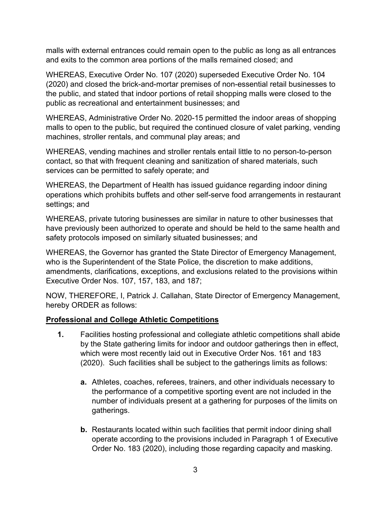malls with external entrances could remain open to the public as long as all entrances and exits to the common area portions of the malls remained closed; and

WHEREAS, Executive Order No. 107 (2020) superseded Executive Order No. 104 (2020) and closed the brick-and-mortar premises of non-essential retail businesses to the public, and stated that indoor portions of retail shopping malls were closed to the public as recreational and entertainment businesses; and

WHEREAS, Administrative Order No. 2020-15 permitted the indoor areas of shopping malls to open to the public, but required the continued closure of valet parking, vending machines, stroller rentals, and communal play areas; and

WHEREAS, vending machines and stroller rentals entail little to no person-to-person contact, so that with frequent cleaning and sanitization of shared materials, such services can be permitted to safely operate; and

WHEREAS, the Department of Health has issued guidance regarding indoor dining operations which prohibits buffets and other self-serve food arrangements in restaurant settings; and

WHEREAS, private tutoring businesses are similar in nature to other businesses that have previously been authorized to operate and should be held to the same health and safety protocols imposed on similarly situated businesses; and

WHEREAS, the Governor has granted the State Director of Emergency Management, who is the Superintendent of the State Police, the discretion to make additions, amendments, clarifications, exceptions, and exclusions related to the provisions within Executive Order Nos. 107, 157, 183, and 187;

NOW, THEREFORE, I, Patrick J. Callahan, State Director of Emergency Management, hereby ORDER as follows:

#### **Professional and College Athletic Competitions**

- **1.** Facilities hosting professional and collegiate athletic competitions shall abide by the State gathering limits for indoor and outdoor gatherings then in effect, which were most recently laid out in Executive Order Nos. 161 and 183 (2020). Such facilities shall be subject to the gatherings limits as follows:
	- **a.** Athletes, coaches, referees, trainers, and other individuals necessary to the performance of a competitive sporting event are not included in the number of individuals present at a gathering for purposes of the limits on gatherings.
	- **b.** Restaurants located within such facilities that permit indoor dining shall operate according to the provisions included in Paragraph 1 of Executive Order No. 183 (2020), including those regarding capacity and masking.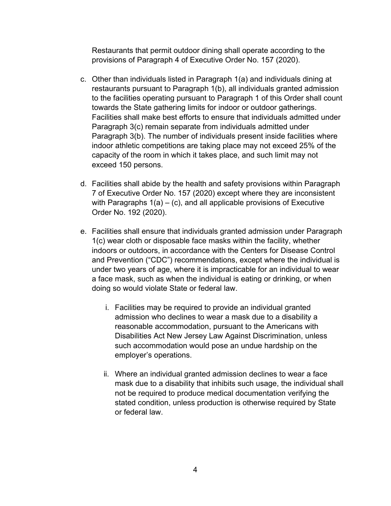Restaurants that permit outdoor dining shall operate according to the provisions of Paragraph 4 of Executive Order No. 157 (2020).

- c. Other than individuals listed in Paragraph 1(a) and individuals dining at restaurants pursuant to Paragraph 1(b), all individuals granted admission to the facilities operating pursuant to Paragraph 1 of this Order shall count towards the State gathering limits for indoor or outdoor gatherings. Facilities shall make best efforts to ensure that individuals admitted under Paragraph 3(c) remain separate from individuals admitted under Paragraph 3(b). The number of individuals present inside facilities where indoor athletic competitions are taking place may not exceed 25% of the capacity of the room in which it takes place, and such limit may not exceed 150 persons.
- d. Facilities shall abide by the health and safety provisions within Paragraph 7 of Executive Order No. 157 (2020) except where they are inconsistent with Paragraphs  $1(a) - (c)$ , and all applicable provisions of Executive Order No. 192 (2020).
- e. Facilities shall ensure that individuals granted admission under Paragraph 1(c) wear cloth or disposable face masks within the facility, whether indoors or outdoors, in accordance with the Centers for Disease Control and Prevention ("CDC") recommendations, except where the individual is under two years of age, where it is impracticable for an individual to wear a face mask, such as when the individual is eating or drinking, or when doing so would violate State or federal law.
	- i. Facilities may be required to provide an individual granted admission who declines to wear a mask due to a disability a reasonable accommodation, pursuant to the Americans with Disabilities Act New Jersey Law Against Discrimination, unless such accommodation would pose an undue hardship on the employer's operations.
	- ii. Where an individual granted admission declines to wear a face mask due to a disability that inhibits such usage, the individual shall not be required to produce medical documentation verifying the stated condition, unless production is otherwise required by State or federal law.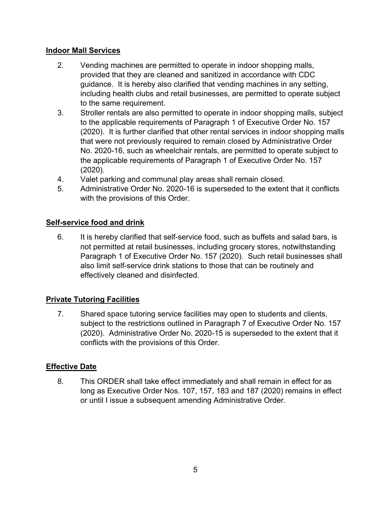#### **Indoor Mall Services**

- 2. Vending machines are permitted to operate in indoor shopping malls, provided that they are cleaned and sanitized in accordance with CDC guidance. It is hereby also clarified that vending machines in any setting, including health clubs and retail businesses, are permitted to operate subject to the same requirement.
- 3. Stroller rentals are also permitted to operate in indoor shopping malls, subject to the applicable requirements of Paragraph 1 of Executive Order No. 157 (2020). It is further clarified that other rental services in indoor shopping malls that were not previously required to remain closed by Administrative Order No. 2020-16, such as wheelchair rentals, are permitted to operate subject to the applicable requirements of Paragraph 1 of Executive Order No. 157 (2020).
- 4. Valet parking and communal play areas shall remain closed.
- 5. Administrative Order No. 2020-16 is superseded to the extent that it conflicts with the provisions of this Order.

## **Self-service food and drink**

6. It is hereby clarified that self-service food, such as buffets and salad bars, is not permitted at retail businesses, including grocery stores, notwithstanding Paragraph 1 of Executive Order No. 157 (2020). Such retail businesses shall also limit self-service drink stations to those that can be routinely and effectively cleaned and disinfected.

## **Private Tutoring Facilities**

7. Shared space tutoring service facilities may open to students and clients, subject to the restrictions outlined in Paragraph 7 of Executive Order No. 157 (2020). Administrative Order No. 2020-15 is superseded to the extent that it conflicts with the provisions of this Order.

## **Effective Date**

8. This ORDER shall take effect immediately and shall remain in effect for as long as Executive Order Nos. 107, 157, 183 and 187 (2020) remains in effect or until I issue a subsequent amending Administrative Order.